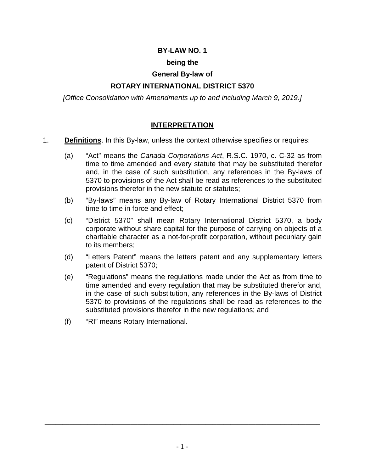#### **BY-LAW NO. 1**

#### **being the**

#### **General By-law of**

#### **ROTARY INTERNATIONAL DISTRICT 5370**

*[Office Consolidation with Amendments up to and including March 9, 2019.]*

#### **INTERPRETATION**

- 1. **Definitions**. In this By-law, unless the context otherwise specifies or requires:
	- (a) "Act" means the *Canada Corporations Act*, R.S.C. 1970, c. C-32 as from time to time amended and every statute that may be substituted therefor and, in the case of such substitution, any references in the By-laws of 5370 to provisions of the Act shall be read as references to the substituted provisions therefor in the new statute or statutes;
	- (b) "By-laws" means any By-law of Rotary International District 5370 from time to time in force and effect;
	- (c) "District 5370" shall mean Rotary International District 5370, a body corporate without share capital for the purpose of carrying on objects of a charitable character as a not-for-profit corporation, without pecuniary gain to its members;
	- (d) "Letters Patent" means the letters patent and any supplementary letters patent of District 5370;
	- (e) "Regulations" means the regulations made under the Act as from time to time amended and every regulation that may be substituted therefor and, in the case of such substitution, any references in the By-laws of District 5370 to provisions of the regulations shall be read as references to the substituted provisions therefor in the new regulations; and
	- (f) "RI" means Rotary International.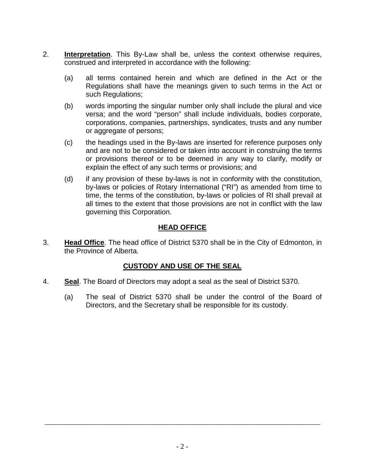- 2. **Interpretation**. This By-Law shall be, unless the context otherwise requires, construed and interpreted in accordance with the following:
	- (a) all terms contained herein and which are defined in the Act or the Regulations shall have the meanings given to such terms in the Act or such Regulations;
	- (b) words importing the singular number only shall include the plural and vice versa; and the word "person" shall include individuals, bodies corporate, corporations, companies, partnerships, syndicates, trusts and any number or aggregate of persons;
	- (c) the headings used in the By-laws are inserted for reference purposes only and are not to be considered or taken into account in construing the terms or provisions thereof or to be deemed in any way to clarify, modify or explain the effect of any such terms or provisions; and
	- (d) if any provision of these by-laws is not in conformity with the constitution, by-laws or policies of Rotary International ("RI") as amended from time to time, the terms of the constitution, by-laws or policies of RI shall prevail at all times to the extent that those provisions are not in conflict with the law governing this Corporation.

## **HEAD OFFICE**

3. **Head Office**. The head office of District 5370 shall be in the City of Edmonton, in the Province of Alberta.

### **CUSTODY AND USE OF THE SEAL**

- 4. **Seal**. The Board of Directors may adopt a seal as the seal of District 5370.
	- (a) The seal of District 5370 shall be under the control of the Board of Directors, and the Secretary shall be responsible for its custody.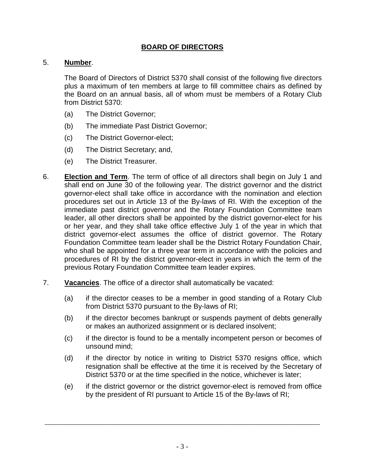### **BOARD OF DIRECTORS**

#### 5. **Number**.

The Board of Directors of District 5370 shall consist of the following five directors plus a maximum of ten members at large to fill committee chairs as defined by the Board on an annual basis, all of whom must be members of a Rotary Club from District 5370:

- (a) The District Governor;
- (b) The immediate Past District Governor;
- (c) The District Governor-elect;
- (d) The District Secretary; and,
- (e) The District Treasurer.
- 6. **Election and Term**. The term of office of all directors shall begin on July 1 and shall end on June 30 of the following year. The district governor and the district governor-elect shall take office in accordance with the nomination and election procedures set out in Article 13 of the By-laws of RI. With the exception of the immediate past district governor and the Rotary Foundation Committee team leader, all other directors shall be appointed by the district governor-elect for his or her year, and they shall take office effective July 1 of the year in which that district governor-elect assumes the office of district governor. The Rotary Foundation Committee team leader shall be the District Rotary Foundation Chair, who shall be appointed for a three year term in accordance with the policies and procedures of RI by the district governor-elect in years in which the term of the previous Rotary Foundation Committee team leader expires.
- 7. **Vacancies**. The office of a director shall automatically be vacated:
	- (a) if the director ceases to be a member in good standing of a Rotary Club from District 5370 pursuant to the By-laws of RI;
	- (b) if the director becomes bankrupt or suspends payment of debts generally or makes an authorized assignment or is declared insolvent;
	- (c) if the director is found to be a mentally incompetent person or becomes of unsound mind;
	- (d) if the director by notice in writing to District 5370 resigns office, which resignation shall be effective at the time it is received by the Secretary of District 5370 or at the time specified in the notice, whichever is later;
	- (e) if the district governor or the district governor-elect is removed from office by the president of RI pursuant to Article 15 of the By-laws of RI;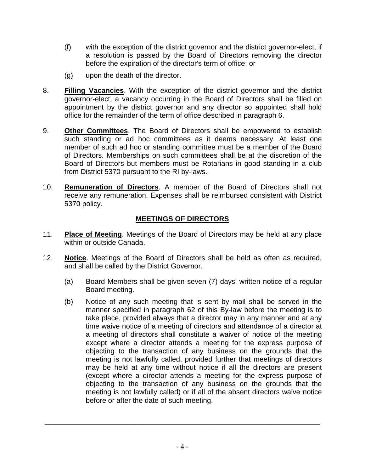- (f) with the exception of the district governor and the district governor-elect, if a resolution is passed by the Board of Directors removing the director before the expiration of the director's term of office; or
- (g) upon the death of the director.
- 8. **Filling Vacancies**. With the exception of the district governor and the district governor-elect, a vacancy occurring in the Board of Directors shall be filled on appointment by the district governor and any director so appointed shall hold office for the remainder of the term of office described in paragraph 6.
- 9. **Other Committees**. The Board of Directors shall be empowered to establish such standing or ad hoc committees as it deems necessary. At least one member of such ad hoc or standing committee must be a member of the Board of Directors. Memberships on such committees shall be at the discretion of the Board of Directors but members must be Rotarians in good standing in a club from District 5370 pursuant to the RI by-laws.
- 10. **Remuneration of Directors**. A member of the Board of Directors shall not receive any remuneration. Expenses shall be reimbursed consistent with District 5370 policy.

# **MEETINGS OF DIRECTORS**

- 11. **Place of Meeting**. Meetings of the Board of Directors may be held at any place within or outside Canada.
- 12. **Notice**. Meetings of the Board of Directors shall be held as often as required, and shall be called by the District Governor.
	- (a) Board Members shall be given seven (7) days' written notice of a regular Board meeting.
	- (b) Notice of any such meeting that is sent by mail shall be served in the manner specified in paragraph 62 of this By-law before the meeting is to take place, provided always that a director may in any manner and at any time waive notice of a meeting of directors and attendance of a director at a meeting of directors shall constitute a waiver of notice of the meeting except where a director attends a meeting for the express purpose of objecting to the transaction of any business on the grounds that the meeting is not lawfully called, provided further that meetings of directors may be held at any time without notice if all the directors are present (except where a director attends a meeting for the express purpose of objecting to the transaction of any business on the grounds that the meeting is not lawfully called) or if all of the absent directors waive notice before or after the date of such meeting.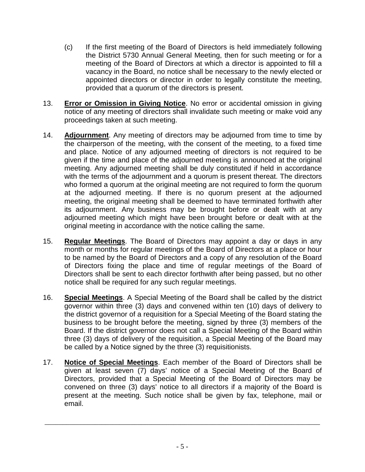- (c) If the first meeting of the Board of Directors is held immediately following the District 5730 Annual General Meeting, then for such meeting or for a meeting of the Board of Directors at which a director is appointed to fill a vacancy in the Board, no notice shall be necessary to the newly elected or appointed directors or director in order to legally constitute the meeting, provided that a quorum of the directors is present.
- 13. **Error or Omission in Giving Notice**. No error or accidental omission in giving notice of any meeting of directors shall invalidate such meeting or make void any proceedings taken at such meeting.
- 14. **Adjournment**. Any meeting of directors may be adjourned from time to time by the chairperson of the meeting, with the consent of the meeting, to a fixed time and place. Notice of any adjourned meeting of directors is not required to be given if the time and place of the adjourned meeting is announced at the original meeting. Any adjourned meeting shall be duly constituted if held in accordance with the terms of the adjournment and a quorum is present thereat. The directors who formed a quorum at the original meeting are not required to form the quorum at the adjourned meeting. If there is no quorum present at the adjourned meeting, the original meeting shall be deemed to have terminated forthwith after its adjournment. Any business may be brought before or dealt with at any adjourned meeting which might have been brought before or dealt with at the original meeting in accordance with the notice calling the same.
- 15. **Regular Meetings**. The Board of Directors may appoint a day or days in any month or months for regular meetings of the Board of Directors at a place or hour to be named by the Board of Directors and a copy of any resolution of the Board of Directors fixing the place and time of regular meetings of the Board of Directors shall be sent to each director forthwith after being passed, but no other notice shall be required for any such regular meetings.
- 16. **Special Meetings**. A Special Meeting of the Board shall be called by the district governor within three (3) days and convened within ten (10) days of delivery to the district governor of a requisition for a Special Meeting of the Board stating the business to be brought before the meeting, signed by three (3) members of the Board. If the district governor does not call a Special Meeting of the Board within three (3) days of delivery of the requisition, a Special Meeting of the Board may be called by a Notice signed by the three (3) requisitionists.
- 17. **Notice of Special Meetings**. Each member of the Board of Directors shall be given at least seven (7) days' notice of a Special Meeting of the Board of Directors, provided that a Special Meeting of the Board of Directors may be convened on three (3) days' notice to all directors if a majority of the Board is present at the meeting. Such notice shall be given by fax, telephone, mail or email.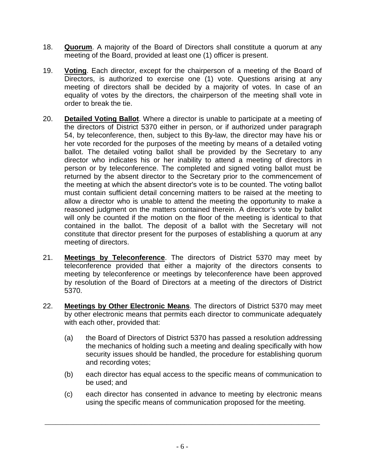- 18. **Quorum**. A majority of the Board of Directors shall constitute a quorum at any meeting of the Board, provided at least one (1) officer is present.
- 19. **Voting**. Each director, except for the chairperson of a meeting of the Board of Directors, is authorized to exercise one (1) vote. Questions arising at any meeting of directors shall be decided by a majority of votes. In case of an equality of votes by the directors, the chairperson of the meeting shall vote in order to break the tie.
- 20. **Detailed Voting Ballot**. Where a director is unable to participate at a meeting of the directors of District 5370 either in person, or if authorized under paragraph 54, by teleconference, then, subject to this By-law, the director may have his or her vote recorded for the purposes of the meeting by means of a detailed voting ballot. The detailed voting ballot shall be provided by the Secretary to any director who indicates his or her inability to attend a meeting of directors in person or by teleconference. The completed and signed voting ballot must be returned by the absent director to the Secretary prior to the commencement of the meeting at which the absent director's vote is to be counted. The voting ballot must contain sufficient detail concerning matters to be raised at the meeting to allow a director who is unable to attend the meeting the opportunity to make a reasoned judgment on the matters contained therein. A director's vote by ballot will only be counted if the motion on the floor of the meeting is identical to that contained in the ballot. The deposit of a ballot with the Secretary will not constitute that director present for the purposes of establishing a quorum at any meeting of directors.
- 21. **Meetings by Teleconference**. The directors of District 5370 may meet by teleconference provided that either a majority of the directors consents to meeting by teleconference or meetings by teleconference have been approved by resolution of the Board of Directors at a meeting of the directors of District 5370.
- 22. **Meetings by Other Electronic Means**. The directors of District 5370 may meet by other electronic means that permits each director to communicate adequately with each other, provided that:
	- (a) the Board of Directors of District 5370 has passed a resolution addressing the mechanics of holding such a meeting and dealing specifically with how security issues should be handled, the procedure for establishing quorum and recording votes;
	- (b) each director has equal access to the specific means of communication to be used; and
	- (c) each director has consented in advance to meeting by electronic means using the specific means of communication proposed for the meeting.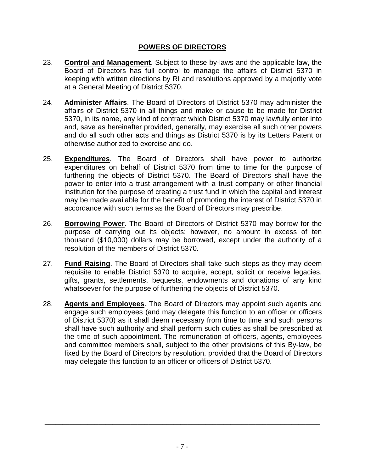### **POWERS OF DIRECTORS**

- 23. **Control and Management**. Subject to these by-laws and the applicable law, the Board of Directors has full control to manage the affairs of District 5370 in keeping with written directions by RI and resolutions approved by a majority vote at a General Meeting of District 5370.
- 24. **Administer Affairs**. The Board of Directors of District 5370 may administer the affairs of District 5370 in all things and make or cause to be made for District 5370, in its name, any kind of contract which District 5370 may lawfully enter into and, save as hereinafter provided, generally, may exercise all such other powers and do all such other acts and things as District 5370 is by its Letters Patent or otherwise authorized to exercise and do.
- 25. **Expenditures**. The Board of Directors shall have power to authorize expenditures on behalf of District 5370 from time to time for the purpose of furthering the objects of District 5370. The Board of Directors shall have the power to enter into a trust arrangement with a trust company or other financial institution for the purpose of creating a trust fund in which the capital and interest may be made available for the benefit of promoting the interest of District 5370 in accordance with such terms as the Board of Directors may prescribe.
- 26. **Borrowing Power**. The Board of Directors of District 5370 may borrow for the purpose of carrying out its objects; however, no amount in excess of ten thousand (\$10,000) dollars may be borrowed, except under the authority of a resolution of the members of District 5370.
- 27. **Fund Raising**. The Board of Directors shall take such steps as they may deem requisite to enable District 5370 to acquire, accept, solicit or receive legacies, gifts, grants, settlements, bequests, endowments and donations of any kind whatsoever for the purpose of furthering the objects of District 5370.
- 28. **Agents and Employees**. The Board of Directors may appoint such agents and engage such employees (and may delegate this function to an officer or officers of District 5370) as it shall deem necessary from time to time and such persons shall have such authority and shall perform such duties as shall be prescribed at the time of such appointment. The remuneration of officers, agents, employees and committee members shall, subject to the other provisions of this By-law, be fixed by the Board of Directors by resolution, provided that the Board of Directors may delegate this function to an officer or officers of District 5370.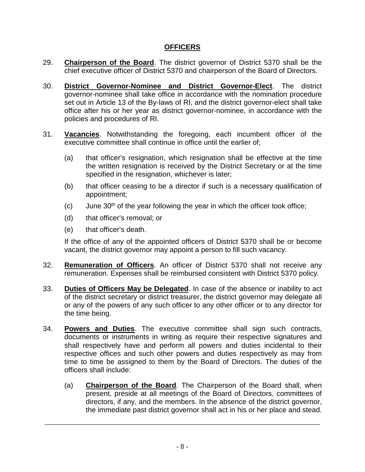### **OFFICERS**

- 29. **Chairperson of the Board**. The district governor of District 5370 shall be the chief executive officer of District 5370 and chairperson of the Board of Directors.
- 30. **District Governor-Nominee and District Governor-Elect**. The district governor-nominee shall take office in accordance with the nomination procedure set out in Article 13 of the By-laws of RI, and the district governor-elect shall take office after his or her year as district governor-nominee, in accordance with the policies and procedures of RI.
- 31. **Vacancies**. Notwithstanding the foregoing, each incumbent officer of the executive committee shall continue in office until the earlier of;
	- (a) that officer's resignation, which resignation shall be effective at the time the written resignation is received by the District Secretary or at the time specified in the resignation, whichever is later;
	- (b) that officer ceasing to be a director if such is a necessary qualification of appointment;
	- $(c)$  June 30<sup>th</sup> of the year following the year in which the officer took office;
	- (d) that officer's removal; or
	- (e) that officer's death.

If the office of any of the appointed officers of District 5370 shall be or become vacant, the district governor may appoint a person to fill such vacancy.

- 32. **Remuneration of Officers**. An officer of District 5370 shall not receive any remuneration. Expenses shall be reimbursed consistent with District 5370 policy.
- 33. **Duties of Officers May be Delegated**. In case of the absence or inability to act of the district secretary or district treasurer, the district governor may delegate all or any of the powers of any such officer to any other officer or to any director for the time being.
- 34. **Powers and Duties**. The executive committee shall sign such contracts, documents or instruments in writing as require their respective signatures and shall respectively have and perform all powers and duties incidental to their respective offices and such other powers and duties respectively as may from time to time be assigned to them by the Board of Directors. The duties of the officers shall include:
	- (a) **Chairperson of the Board**. The Chairperson of the Board shall, when present, preside at all meetings of the Board of Directors, committees of directors, if any, and the members. In the absence of the district governor, the immediate past district governor shall act in his or her place and stead.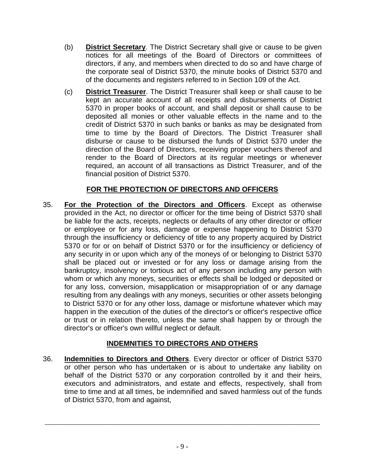- (b) **District Secretary**. The District Secretary shall give or cause to be given notices for all meetings of the Board of Directors or committees of directors, if any, and members when directed to do so and have charge of the corporate seal of District 5370, the minute books of District 5370 and of the documents and registers referred to in Section 109 of the Act.
- (c) **District Treasurer**. The District Treasurer shall keep or shall cause to be kept an accurate account of all receipts and disbursements of District 5370 in proper books of account, and shall deposit or shall cause to be deposited all monies or other valuable effects in the name and to the credit of District 5370 in such banks or banks as may be designated from time to time by the Board of Directors. The District Treasurer shall disburse or cause to be disbursed the funds of District 5370 under the direction of the Board of Directors, receiving proper vouchers thereof and render to the Board of Directors at its regular meetings or whenever required, an account of all transactions as District Treasurer, and of the financial position of District 5370.

# **FOR THE PROTECTION OF DIRECTORS AND OFFICERS**

35. **For the Protection of the Directors and Officers**. Except as otherwise provided in the Act, no director or officer for the time being of District 5370 shall be liable for the acts, receipts, neglects or defaults of any other director or officer or employee or for any loss, damage or expense happening to District 5370 through the insufficiency or deficiency of title to any property acquired by District 5370 or for or on behalf of District 5370 or for the insufficiency or deficiency of any security in or upon which any of the moneys of or belonging to District 5370 shall be placed out or invested or for any loss or damage arising from the bankruptcy, insolvency or tortious act of any person including any person with whom or which any moneys, securities or effects shall be lodged or deposited or for any loss, conversion, misapplication or misappropriation of or any damage resulting from any dealings with any moneys, securities or other assets belonging to District 5370 or for any other loss, damage or misfortune whatever which may happen in the execution of the duties of the director's or officer's respective office or trust or in relation thereto, unless the same shall happen by or through the director's or officer's own willful neglect or default.

# **INDEMNITIES TO DIRECTORS AND OTHERS**

36. **Indemnities to Directors and Others**. Every director or officer of District 5370 or other person who has undertaken or is about to undertake any liability on behalf of the District 5370 or any corporation controlled by it and their heirs, executors and administrators, and estate and effects, respectively, shall from time to time and at all times, be indemnified and saved harmless out of the funds of District 5370, from and against,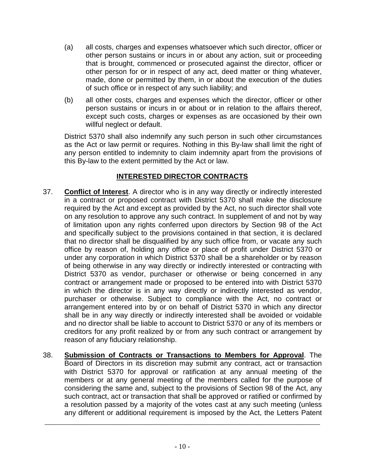- (a) all costs, charges and expenses whatsoever which such director, officer or other person sustains or incurs in or about any action, suit or proceeding that is brought, commenced or prosecuted against the director, officer or other person for or in respect of any act, deed matter or thing whatever, made, done or permitted by them, in or about the execution of the duties of such office or in respect of any such liability; and
- (b) all other costs, charges and expenses which the director, officer or other person sustains or incurs in or about or in relation to the affairs thereof, except such costs, charges or expenses as are occasioned by their own willful neglect or default.

District 5370 shall also indemnify any such person in such other circumstances as the Act or law permit or requires. Nothing in this By-law shall limit the right of any person entitled to indemnity to claim indemnity apart from the provisions of this By-law to the extent permitted by the Act or law.

# **INTERESTED DIRECTOR CONTRACTS**

- 37. **Conflict of Interest**. A director who is in any way directly or indirectly interested in a contract or proposed contract with District 5370 shall make the disclosure required by the Act and except as provided by the Act, no such director shall vote on any resolution to approve any such contract. In supplement of and not by way of limitation upon any rights conferred upon directors by Section 98 of the Act and specifically subject to the provisions contained in that section, it is declared that no director shall be disqualified by any such office from, or vacate any such office by reason of, holding any office or place of profit under District 5370 or under any corporation in which District 5370 shall be a shareholder or by reason of being otherwise in any way directly or indirectly interested or contracting with District 5370 as vendor, purchaser or otherwise or being concerned in any contract or arrangement made or proposed to be entered into with District 5370 in which the director is in any way directly or indirectly interested as vendor, purchaser or otherwise. Subject to compliance with the Act, no contract or arrangement entered into by or on behalf of District 5370 in which any director shall be in any way directly or indirectly interested shall be avoided or voidable and no director shall be liable to account to District 5370 or any of its members or creditors for any profit realized by or from any such contract or arrangement by reason of any fiduciary relationship.
- 38. **Submission of Contracts or Transactions to Members for Approval**. The Board of Directors in its discretion may submit any contract, act or transaction with District 5370 for approval or ratification at any annual meeting of the members or at any general meeting of the members called for the purpose of considering the same and, subject to the provisions of Section 98 of the Act, any such contract, act or transaction that shall be approved or ratified or confirmed by a resolution passed by a majority of the votes cast at any such meeting (unless any different or additional requirement is imposed by the Act, the Letters Patent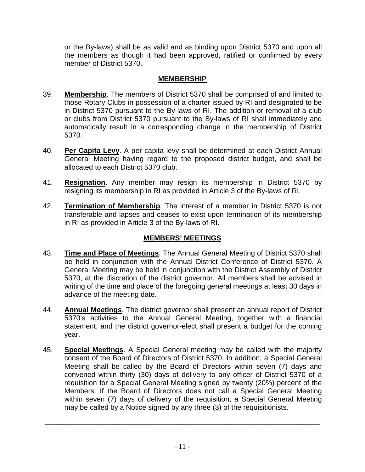or the By-laws) shall be as valid and as binding upon District 5370 and upon all the members as though it had been approved, ratified or confirmed by every member of District 5370.

### **MEMBERSHIP**

- 39. **Membership**. The members of District 5370 shall be comprised of and limited to those Rotary Clubs in possession of a charter issued by RI and designated to be in District 5370 pursuant to the By-laws of RI. The addition or removal of a club or clubs from District 5370 pursuant to the By-laws of RI shall immediately and automatically result in a corresponding change in the membership of District 5370.
- 40. **Per Capita Levy**. A per capita levy shall be determined at each District Annual General Meeting having regard to the proposed district budget, and shall be allocated to each District 5370 club.
- 41. **Resignation**. Any member may resign its membership in District 5370 by resigning its membership in RI as provided in Article 3 of the By-laws of RI.
- 42. **Termination of Membership**. The interest of a member in District 5370 is not transferable and lapses and ceases to exist upon termination of its membership in RI as provided in Article 3 of the By-laws of RI.

# **MEMBERS' MEETINGS**

- 43. **Time and Place of Meetings**. The Annual General Meeting of District 5370 shall be held in conjunction with the Annual District Conference of District 5370. A General Meeting may be held in conjunction with the District Assembly of District 5370, at the discretion of the district governor. All members shall be advised in writing of the time and place of the foregoing general meetings at least 30 days in advance of the meeting date.
- 44. **Annual Meetings**. The district governor shall present an annual report of District 5370's activities to the Annual General Meeting, together with a financial statement, and the district governor-elect shall present a budget for the coming year.
- 45. **Special Meetings**. A Special General meeting may be called with the majority consent of the Board of Directors of District 5370. In addition, a Special General Meeting shall be called by the Board of Directors within seven (7) days and convened within thirty (30) days of delivery to any officer of District 5370 of a requisition for a Special General Meeting signed by twenty (20%) percent of the Members. If the Board of Directors does not call a Special General Meeting within seven (7) days of delivery of the requisition, a Special General Meeting may be called by a Notice signed by any three (3) of the requisitionists.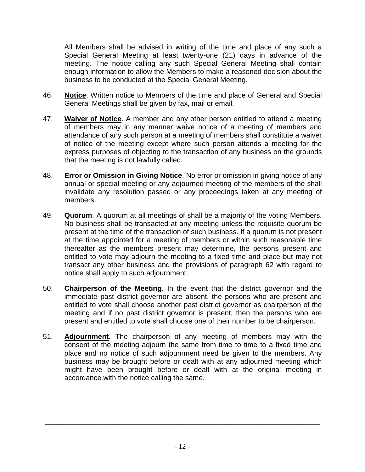All Members shall be advised in writing of the time and place of any such a Special General Meeting at least twenty-one (21) days in advance of the meeting. The notice calling any such Special General Meeting shall contain enough information to allow the Members to make a reasoned decision about the business to be conducted at the Special General Meeting.

- 46. **Notice**. Written notice to Members of the time and place of General and Special General Meetings shall be given by fax, mail or email.
- 47. **Waiver of Notice**. A member and any other person entitled to attend a meeting of members may in any manner waive notice of a meeting of members and attendance of any such person at a meeting of members shall constitute a waiver of notice of the meeting except where such person attends a meeting for the express purposes of objecting to the transaction of any business on the grounds that the meeting is not lawfully called.
- 48. **Error or Omission in Giving Notice**. No error or omission in giving notice of any annual or special meeting or any adjourned meeting of the members of the shall invalidate any resolution passed or any proceedings taken at any meeting of members.
- 49. **Quorum**. A quorum at all meetings of shall be a majority of the voting Members. No business shall be transacted at any meeting unless the requisite quorum be present at the time of the transaction of such business. If a quorum is not present at the time appointed for a meeting of members or within such reasonable time thereafter as the members present may determine, the persons present and entitled to vote may adjourn the meeting to a fixed time and place but may not transact any other business and the provisions of paragraph 62 with regard to notice shall apply to such adjournment.
- 50. **Chairperson of the Meeting**. In the event that the district governor and the immediate past district governor are absent, the persons who are present and entitled to vote shall choose another past district governor as chairperson of the meeting and if no past district governor is present, then the persons who are present and entitled to vote shall choose one of their number to be chairperson.
- 51. **Adjournment**. The chairperson of any meeting of members may with the consent of the meeting adjourn the same from time to time to a fixed time and place and no notice of such adjournment need be given to the members. Any business may be brought before or dealt with at any adjourned meeting which might have been brought before or dealt with at the original meeting in accordance with the notice calling the same.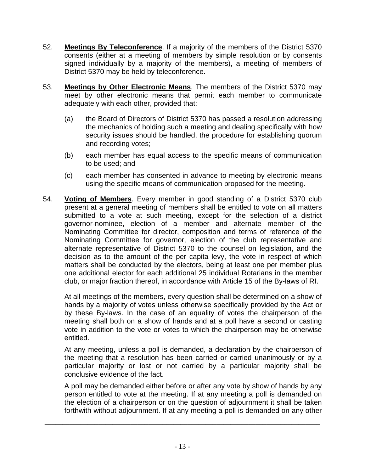- 52. **Meetings By Teleconference**. If a majority of the members of the District 5370 consents (either at a meeting of members by simple resolution or by consents signed individually by a majority of the members), a meeting of members of District 5370 may be held by teleconference.
- 53. **Meetings by Other Electronic Means**. The members of the District 5370 may meet by other electronic means that permit each member to communicate adequately with each other, provided that:
	- (a) the Board of Directors of District 5370 has passed a resolution addressing the mechanics of holding such a meeting and dealing specifically with how security issues should be handled, the procedure for establishing quorum and recording votes;
	- (b) each member has equal access to the specific means of communication to be used; and
	- (c) each member has consented in advance to meeting by electronic means using the specific means of communication proposed for the meeting.
- 54. **Voting of Members**. Every member in good standing of a District 5370 club present at a general meeting of members shall be entitled to vote on all matters submitted to a vote at such meeting, except for the selection of a district governor-nominee, election of a member and alternate member of the Nominating Committee for director, composition and terms of reference of the Nominating Committee for governor, election of the club representative and alternate representative of District 5370 to the counsel on legislation, and the decision as to the amount of the per capita levy, the vote in respect of which matters shall be conducted by the electors, being at least one per member plus one additional elector for each additional 25 individual Rotarians in the member club, or major fraction thereof, in accordance with Article 15 of the By-laws of RI.

At all meetings of the members, every question shall be determined on a show of hands by a majority of votes unless otherwise specifically provided by the Act or by these By-laws. In the case of an equality of votes the chairperson of the meeting shall both on a show of hands and at a poll have a second or casting vote in addition to the vote or votes to which the chairperson may be otherwise entitled.

At any meeting, unless a poll is demanded, a declaration by the chairperson of the meeting that a resolution has been carried or carried unanimously or by a particular majority or lost or not carried by a particular majority shall be conclusive evidence of the fact.

A poll may be demanded either before or after any vote by show of hands by any person entitled to vote at the meeting. If at any meeting a poll is demanded on the election of a chairperson or on the question of adjournment it shall be taken forthwith without adjournment. If at any meeting a poll is demanded on any other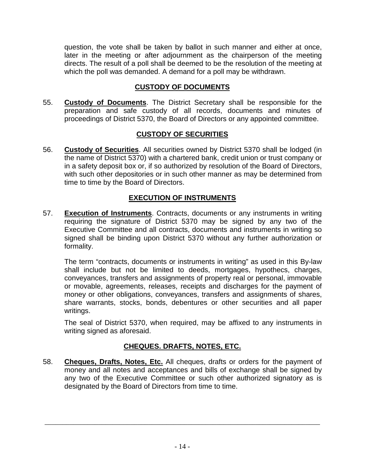question, the vote shall be taken by ballot in such manner and either at once, later in the meeting or after adjournment as the chairperson of the meeting directs. The result of a poll shall be deemed to be the resolution of the meeting at which the poll was demanded. A demand for a poll may be withdrawn.

# **CUSTODY OF DOCUMENTS**

55. **Custody of Documents**. The District Secretary shall be responsible for the preparation and safe custody of all records, documents and minutes of proceedings of District 5370, the Board of Directors or any appointed committee.

# **CUSTODY OF SECURITIES**

56. **Custody of Securities**. All securities owned by District 5370 shall be lodged (in the name of District 5370) with a chartered bank, credit union or trust company or in a safety deposit box or, if so authorized by resolution of the Board of Directors, with such other depositories or in such other manner as may be determined from time to time by the Board of Directors.

# **EXECUTION OF INSTRUMENTS**

57. **Execution of Instruments**. Contracts, documents or any instruments in writing requiring the signature of District 5370 may be signed by any two of the Executive Committee and all contracts, documents and instruments in writing so signed shall be binding upon District 5370 without any further authorization or formality.

The term "contracts, documents or instruments in writing" as used in this By-law shall include but not be limited to deeds, mortgages, hypothecs, charges, conveyances, transfers and assignments of property real or personal, immovable or movable, agreements, releases, receipts and discharges for the payment of money or other obligations, conveyances, transfers and assignments of shares, share warrants, stocks, bonds, debentures or other securities and all paper writings.

The seal of District 5370, when required, may be affixed to any instruments in writing signed as aforesaid.

# **CHEQUES. DRAFTS, NOTES, ETC.**

58. **Cheques, Drafts, Notes, Etc.** All cheques, drafts or orders for the payment of money and all notes and acceptances and bills of exchange shall be signed by any two of the Executive Committee or such other authorized signatory as is designated by the Board of Directors from time to time.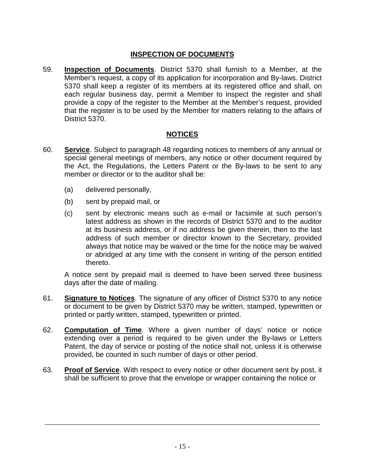## **INSPECTION OF DOCUMENTS**

59. **Inspection of Documents**. District 5370 shall furnish to a Member, at the Member's request, a copy of its application for incorporation and By-laws. District 5370 shall keep a register of its members at its registered office and shall, on each regular business day, permit a Member to inspect the register and shall provide a copy of the register to the Member at the Member's request, provided that the register is to be used by the Member for matters relating to the affairs of District 5370.

## **NOTICES**

- 60. **Service**. Subject to paragraph 48 regarding notices to members of any annual or special general meetings of members, any notice or other document required by the Act, the Regulations, the Letters Patent or the By-laws to be sent to any member or director or to the auditor shall be:
	- (a) delivered personally,
	- (b) sent by prepaid mail, or
	- (c) sent by electronic means such as e-mail or facsimile at such person's latest address as shown in the records of District 5370 and to the auditor at its business address, or if no address be given therein, then to the last address of such member or director known to the Secretary, provided always that notice may be waived or the time for the notice may be waived or abridged at any time with the consent in writing of the person entitled thereto.

A notice sent by prepaid mail is deemed to have been served three business days after the date of mailing.

- 61. **Signature to Notices**. The signature of any officer of District 5370 to any notice or document to be given by District 5370 may be written, stamped, typewritten or printed or partly written, stamped, typewritten or printed.
- 62. **Computation of Time**. Where a given number of days' notice or notice extending over a period is required to be given under the By-laws or Letters Patent, the day of service or posting of the notice shall not, unless it is otherwise provided, be counted in such number of days or other period.
- 63. **Proof of Service**. With respect to every notice or other document sent by post, it shall be sufficient to prove that the envelope or wrapper containing the notice or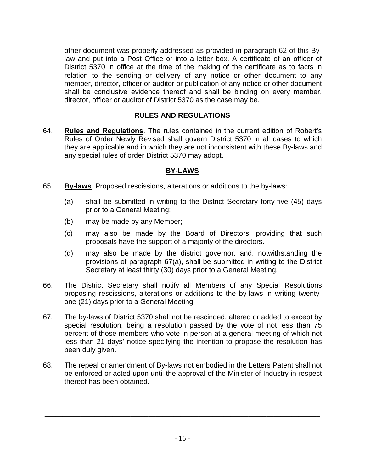other document was properly addressed as provided in paragraph 62 of this Bylaw and put into a Post Office or into a letter box. A certificate of an officer of District 5370 in office at the time of the making of the certificate as to facts in relation to the sending or delivery of any notice or other document to any member, director, officer or auditor or publication of any notice or other document shall be conclusive evidence thereof and shall be binding on every member, director, officer or auditor of District 5370 as the case may be.

#### **RULES AND REGULATIONS**

64. **Rules and Regulations**. The rules contained in the current edition of Robert's Rules of Order Newly Revised shall govern District 5370 in all cases to which they are applicable and in which they are not inconsistent with these By-laws and any special rules of order District 5370 may adopt.

#### **BY-LAWS**

- 65. **By-laws**. Proposed rescissions, alterations or additions to the by-laws:
	- (a) shall be submitted in writing to the District Secretary forty-five (45) days prior to a General Meeting;
	- (b) may be made by any Member;
	- (c) may also be made by the Board of Directors, providing that such proposals have the support of a majority of the directors.
	- (d) may also be made by the district governor, and, notwithstanding the provisions of paragraph 67(a), shall be submitted in writing to the District Secretary at least thirty (30) days prior to a General Meeting.
- 66. The District Secretary shall notify all Members of any Special Resolutions proposing rescissions, alterations or additions to the by-laws in writing twentyone (21) days prior to a General Meeting.
- 67. The by-laws of District 5370 shall not be rescinded, altered or added to except by special resolution, being a resolution passed by the vote of not less than 75 percent of those members who vote in person at a general meeting of which not less than 21 days' notice specifying the intention to propose the resolution has been duly given.
- 68. The repeal or amendment of By-laws not embodied in the Letters Patent shall not be enforced or acted upon until the approval of the Minister of Industry in respect thereof has been obtained.